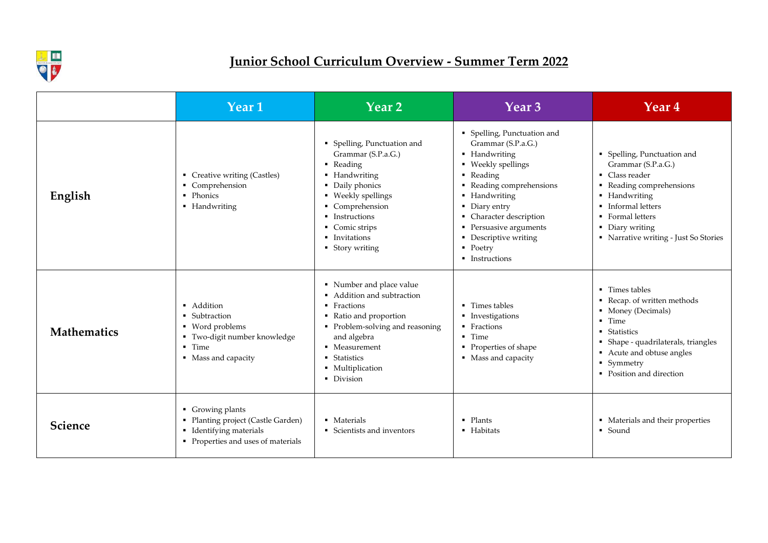

### **Junior School Curriculum Overview - Summer Term 2022**

|                    | Year 1                                                                                                                       | Year 2                                                                                                                                                                                                              | Year 3                                                                                                                                                                                                                                                                                       | <b>Year 4</b>                                                                                                                                                                                                                                          |
|--------------------|------------------------------------------------------------------------------------------------------------------------------|---------------------------------------------------------------------------------------------------------------------------------------------------------------------------------------------------------------------|----------------------------------------------------------------------------------------------------------------------------------------------------------------------------------------------------------------------------------------------------------------------------------------------|--------------------------------------------------------------------------------------------------------------------------------------------------------------------------------------------------------------------------------------------------------|
| English            | • Creative writing (Castles)<br>• Comprehension<br>• Phonics<br>• Handwriting                                                | • Spelling, Punctuation and<br>Grammar (S.P.a.G.)<br>• Reading<br>• Handwriting<br>• Daily phonics<br>• Weekly spellings<br>• Comprehension<br>• Instructions<br>• Comic strips<br>• Invitations<br>• Story writing | • Spelling, Punctuation and<br>Grammar (S.P.a.G.)<br>• Handwriting<br>• Weekly spellings<br>• Reading<br>• Reading comprehensions<br>• Handwriting<br>• Diary entry<br>• Character description<br>• Persuasive arguments<br>• Descriptive writing<br>$\blacksquare$ Poetry<br>• Instructions | <b>Spelling, Punctuation</b><br>Grammar (S.P.a.G.)<br>• Class reader<br>• Reading comprehens<br>Handwriting<br>$\blacksquare$<br>Informal letters<br>$\blacksquare$<br>• Formal letters<br>Diary writing<br>$\blacksquare$<br>• Narrative writing - Ju |
| <b>Mathematics</b> | • Addition<br>• Subtraction<br>• Word problems<br>■ Two-digit number knowledge<br>$\blacksquare$ Time<br>• Mass and capacity | • Number and place value<br>• Addition and subtraction<br>• Fractions<br>Ratio and proportion<br>• Problem-solving and reasoning<br>and algebra<br>• Measurement<br>■ Statistics<br>• Multiplication<br>Division    | • Times tables<br>• Investigations<br>• Fractions<br>• Time<br>• Properties of shape<br>• Mass and capacity                                                                                                                                                                                  | ■ Times tables<br>Recap. of written me<br>• Money (Decimals)<br>$\blacksquare$ Time<br>• Statistics<br>• Shape - quadrilateral<br>Acute and obtuse an<br>$\blacksquare$<br>• Symmetry<br>• Position and directio                                       |
| Science            | Growing plants<br>• Planting project (Castle Garden)<br>• Identifying materials<br>Properties and uses of materials          | • Materials<br>• Scientists and inventors                                                                                                                                                                           | $\blacksquare$ Plants<br>• Habitats                                                                                                                                                                                                                                                          | • Materials and their p<br>• Sound                                                                                                                                                                                                                     |

- Spelling, Punctuation and Grammar (S.P.a.G.)
- **Class reader**
- Reading comprehensions
- Handwriting
- **Informal letters**
- Formal letters
- Diary writing
- Narrative writing Just So Stories
- Times tables
- Recap. of written methods
- Money (Decimals)
- Time
- **Statistics**
- Shape quadrilaterals, triangles
- Acute and obtuse angles
- Symmetry
- Position and direction
- **Materials and their properties**
- Sound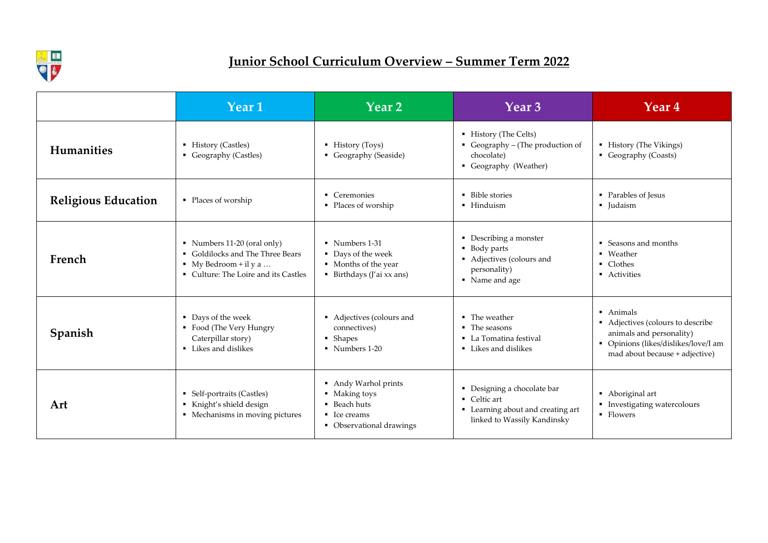

# **Junior School Curriculum Overview – Summer Term 2022**

|                            | Year 1                                                                                                                                        | $\overline{\text{Year 2}}$                                                                                   | Year 3                                                                                                        | Year 4                                                                                                                                               |
|----------------------------|-----------------------------------------------------------------------------------------------------------------------------------------------|--------------------------------------------------------------------------------------------------------------|---------------------------------------------------------------------------------------------------------------|------------------------------------------------------------------------------------------------------------------------------------------------------|
| <b>Humanities</b>          | ■ History (Castles)<br>• Geography (Castles)                                                                                                  | $\blacksquare$ History (Toys)<br>Geography (Seaside)                                                         | • History (The Celts)<br>Geography – (The production of<br>chocolate)<br>• Geography (Weather)                | • History (The Vikings)<br>Geography (Coasts)                                                                                                        |
| <b>Religious Education</b> | • Places of worship                                                                                                                           | • Ceremonies<br>• Places of worship                                                                          | • Bible stories<br>· Hinduism                                                                                 | • Parables of Jesus<br>• Judaism                                                                                                                     |
| French                     | Numbers $11-20$ (oral only)<br>• Goldilocks and The Three Bears<br>$\blacksquare$ My Bedroom + il y a<br>• Culture: The Loire and its Castles | • Numbers 1-31<br>• Days of the week<br>• Months of the year<br>■ Birthdays (J'ai xx ans)                    | • Describing a monster<br>■ Body parts<br>• Adjectives (colours and<br>personality)<br>• Name and age         | • Seasons and months<br>• Weather<br>• Clothes<br>• Activities                                                                                       |
| Spanish                    | • Days of the week<br>• Food (The Very Hungry<br>Caterpillar story)<br>• Likes and dislikes                                                   | • Adjectives (colours and<br>connectives)<br>• Shapes<br>• Numbers 1-20                                      | $\blacksquare$ The weather<br>$\blacksquare$ The seasons<br>• La Tomatina festival<br>• Likes and dislikes    | • Animals<br>• Adjectives (colours to describe<br>animals and personality)<br>• Opinions (likes/dislikes/love/I am<br>mad about because + adjective) |
| Art                        | • Self-portraits (Castles)<br>Knight's shield design<br>• Mechanisms in moving pictures                                                       | Andy Warhol prints<br>• Making toys<br>• Beach huts<br>$\blacksquare$ Ice creams<br>• Observational drawings | • Designing a chocolate bar<br>• Celtic art<br>Learning about and creating art<br>linked to Wassily Kandinsky | • Aboriginal art<br>Investigating watercolours<br>• Flowers                                                                                          |